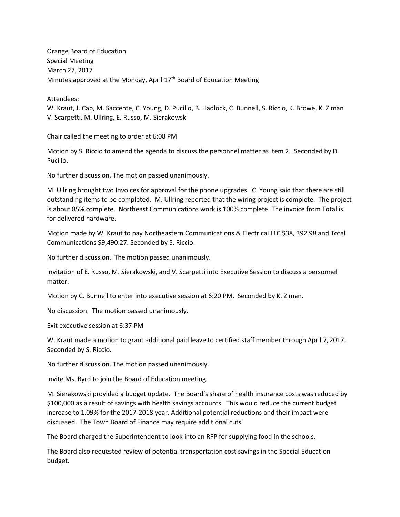Orange Board of Education Special Meeting March 27, 2017 Minutes approved at the Monday, April 17<sup>th</sup> Board of Education Meeting

Attendees:

W. Kraut, J. Cap, M. Saccente, C. Young, D. Pucillo, B. Hadlock, C. Bunnell, S. Riccio, K. Browe, K. Ziman V. Scarpetti, M. Ullring, E. Russo, M. Sierakowski

Chair called the meeting to order at 6:08 PM

Motion by S. Riccio to amend the agenda to discuss the personnel matter as item 2. Seconded by D. Pucillo.

No further discussion. The motion passed unanimously.

M. Ullring brought two Invoices for approval for the phone upgrades. C. Young said that there are still outstanding items to be completed. M. Ullring reported that the wiring project is complete. The project is about 85% complete. Northeast Communications work is 100% complete. The invoice from Total is for delivered hardware.

Motion made by W. Kraut to pay Northeastern Communications & Electrical LLC \$38, 392.98 and Total Communications \$9,490.27. Seconded by S. Riccio.

No further discussion. The motion passed unanimously.

Invitation of E. Russo, M. Sierakowski, and V. Scarpetti into Executive Session to discuss a personnel matter.

Motion by C. Bunnell to enter into executive session at 6:20 PM. Seconded by K. Ziman.

No discussion. The motion passed unanimously.

Exit executive session at 6:37 PM

W. Kraut made a motion to grant additional paid leave to certified staff member through April 7, 2017. Seconded by S. Riccio.

No further discussion. The motion passed unanimously.

Invite Ms. Byrd to join the Board of Education meeting.

M. Sierakowski provided a budget update. The Board's share of health insurance costs was reduced by \$100,000 as a result of savings with health savings accounts. This would reduce the current budget increase to 1.09% for the 2017-2018 year. Additional potential reductions and their impact were discussed. The Town Board of Finance may require additional cuts.

The Board charged the Superintendent to look into an RFP for supplying food in the schools.

The Board also requested review of potential transportation cost savings in the Special Education budget.